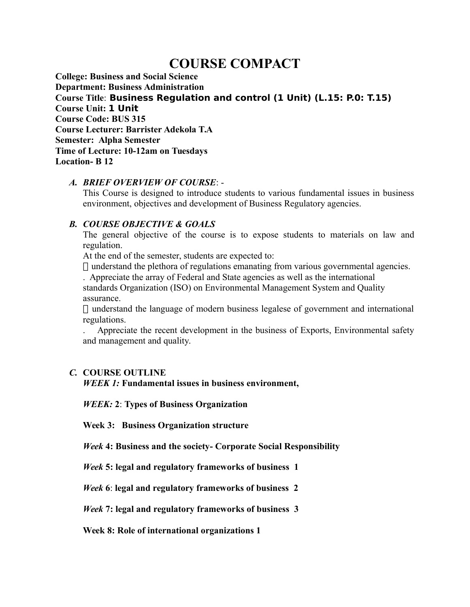# **COURSE COMPACT**

**College: Business and Social Science Department: Business Administration Course Title**: **Business Regulation and control (1 Unit) (L.15: P.0: T.15) Course Unit: 1 Unit Course Code: BUS 315 Course Lecturer: Barrister Adekola T.A Semester: Alpha Semester Time of Lecture: 10-12am on Tuesdays Location- B 12**

### *A. BRIEF OVERVIEW OF COURSE*: -

This Course is designed to introduce students to various fundamental issues in business environment, objectives and development of Business Regulatory agencies.

## *B. COURSE OBJECTIVE & GOALS*

The general objective of the course is to expose students to materials on law and regulation.

At the end of the semester, students are expected to:

 $\Box$  understand the plethora of regulations emanating from various governmental agencies. . Appreciate the array of Federal and State agencies as well as the international

standards Organization (ISO) on Environmental Management System and Quality assurance.

 $\Box$  understand the language of modern business legalese of government and international regulations.

. Appreciate the recent development in the business of Exports, Environmental safety and management and quality.

## *C.* **COURSE OUTLINE**

*WEEK 1:* **Fundamental issues in business environment,**

*WEEK:* **2**: **Types of Business Organization**

**Week 3: Business Organization structure**

*Week* **4: Business and the society- Corporate Social Responsibility**

*Week* **5: legal and regulatory frameworks of business 1**

*Week* **6**: **legal and regulatory frameworks of business 2**

*Week* **7: legal and regulatory frameworks of business 3**

**Week 8: Role of international organizations 1**